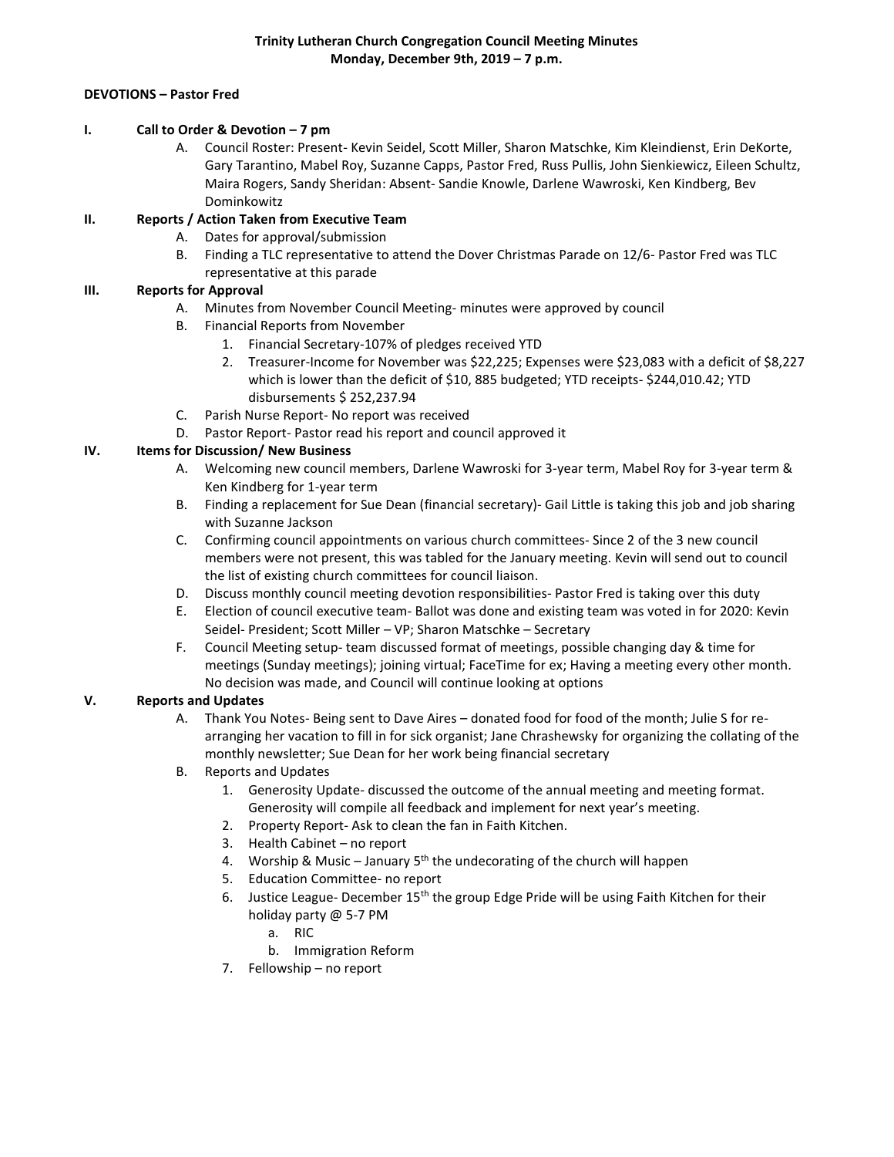#### **DEVOTIONS – Pastor Fred**

#### **I. Call to Order & Devotion – 7 pm**

A. Council Roster: Present- Kevin Seidel, Scott Miller, Sharon Matschke, Kim Kleindienst, Erin DeKorte, Gary Tarantino, Mabel Roy, Suzanne Capps, Pastor Fred, Russ Pullis, John Sienkiewicz, Eileen Schultz, Maira Rogers, Sandy Sheridan: Absent- Sandie Knowle, Darlene Wawroski, Ken Kindberg, Bev Dominkowitz

### **II. Reports / Action Taken from Executive Team**

- A. Dates for approval/submission
- B. Finding a TLC representative to attend the Dover Christmas Parade on 12/6- Pastor Fred was TLC representative at this parade

## **III. Reports for Approval**

- A. Minutes from November Council Meeting- minutes were approved by council
- B. Financial Reports from November
	- 1. Financial Secretary-107% of pledges received YTD
	- 2. Treasurer-Income for November was \$22,225; Expenses were \$23,083 with a deficit of \$8,227 which is lower than the deficit of \$10, 885 budgeted; YTD receipts- \$244,010.42; YTD disbursements \$ 252,237.94
- C. Parish Nurse Report- No report was received
- D. Pastor Report- Pastor read his report and council approved it

## **IV. Items for Discussion/ New Business**

- A. Welcoming new council members, Darlene Wawroski for 3-year term, Mabel Roy for 3-year term & Ken Kindberg for 1-year term
- B. Finding a replacement for Sue Dean (financial secretary)- Gail Little is taking this job and job sharing with Suzanne Jackson
- C. Confirming council appointments on various church committees- Since 2 of the 3 new council members were not present, this was tabled for the January meeting. Kevin will send out to council the list of existing church committees for council liaison.
- D. Discuss monthly council meeting devotion responsibilities- Pastor Fred is taking over this duty
- E. Election of council executive team- Ballot was done and existing team was voted in for 2020: Kevin Seidel- President; Scott Miller – VP; Sharon Matschke – Secretary
- F. Council Meeting setup- team discussed format of meetings, possible changing day & time for meetings (Sunday meetings); joining virtual; FaceTime for ex; Having a meeting every other month. No decision was made, and Council will continue looking at options

# **V. Reports and Updates**

- A. Thank You Notes- Being sent to Dave Aires donated food for food of the month; Julie S for rearranging her vacation to fill in for sick organist; Jane Chrashewsky for organizing the collating of the monthly newsletter; Sue Dean for her work being financial secretary
- B. Reports and Updates
	- 1. Generosity Update- discussed the outcome of the annual meeting and meeting format. Generosity will compile all feedback and implement for next year's meeting.
	- 2. Property Report- Ask to clean the fan in Faith Kitchen.
	- 3. Health Cabinet no report
	- 4. Worship & Music January  $5<sup>th</sup>$  the undecorating of the church will happen
	- 5. Education Committee- no report
	- 6. Justice League- December 15<sup>th</sup> the group Edge Pride will be using Faith Kitchen for their holiday party @ 5-7 PM
		- a. RIC
		- b. Immigration Reform
	- 7. Fellowship no report